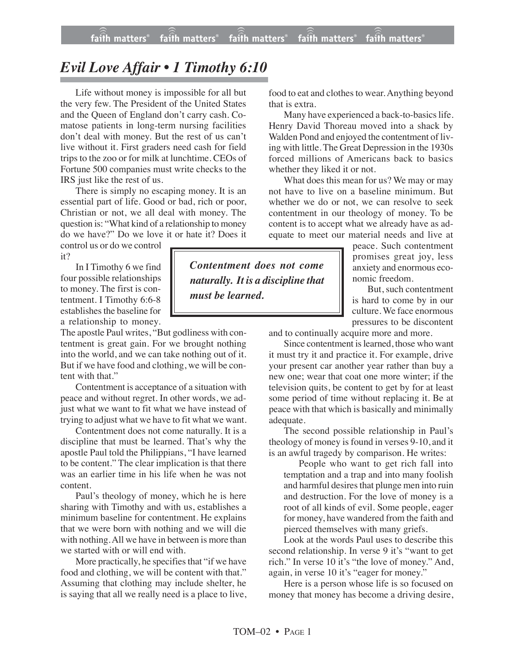## *Evil Love Affair • 1 Timothy 6:10*

Life without money is impossible for all but the very few. The President of the United States and the Queen of England don't carry cash. Comatose patients in long-term nursing facilities don't deal with money. But the rest of us can't live without it. First graders need cash for field trips to the zoo or for milk at lunchtime. CEOs of Fortune 500 companies must write checks to the IRS just like the rest of us.

There is simply no escaping money. It is an essential part of life. Good or bad, rich or poor, Christian or not, we all deal with money. The question is: "What kind of a relationship to money do we have?" Do we love it or hate it? Does it

control us or do we control it?

In I Timothy 6 we find four possible relationships to money. The first is contentment. I Timothy 6:6-8 establishes the baseline for a relationship to money.

The apostle Paul writes, "But godliness with contentment is great gain. For we brought nothing into the world, and we can take nothing out of it. But if we have food and clothing, we will be content with that."

Contentment is acceptance of a situation with peace and without regret. In other words, we adjust what we want to fit what we have instead of trying to adjust what we have to fit what we want.

Contentment does not come naturally. It is a discipline that must be learned. That's why the apostle Paul told the Philippians, "I have learned to be content." The clear implication is that there was an earlier time in his life when he was not content.

Paul's theology of money, which he is here sharing with Timothy and with us, establishes a minimum baseline for contentment. He explains that we were born with nothing and we will die with nothing.All we have in between is more than we started with or will end with.

More practically, he specifies that "if we have food and clothing, we will be content with that." Assuming that clothing may include shelter, he is saying that all we really need is a place to live,

*Contentment does not come naturally. It is a discipline that must be learned.*

food to eat and clothes to wear. Anything beyond that is extra.

Many have experienced a back-to-basics life. Henry David Thoreau moved into a shack by Walden Pond and enjoyed the contentment of living with little. The Great Depression in the 1930s forced millions of Americans back to basics whether they liked it or not.

What does this mean for us? We may or may not have to live on a baseline minimum. But whether we do or not, we can resolve to seek contentment in our theology of money. To be content is to accept what we already have as adequate to meet our material needs and live at

> peace. Such contentment promises great joy, less anxiety and enormous economic freedom.

> But, such contentment is hard to come by in our culture. We face enormous pressures to be discontent

and to continually acquire more and more.

Since contentment is learned, those who want it must try it and practice it. For example, drive your present car another year rather than buy a new one; wear that coat one more winter; if the television quits, be content to get by for at least some period of time without replacing it. Be at peace with that which is basically and minimally adequate.

The second possible relationship in Paul's theology of money is found in verses 9-10, and it is an awful tragedy by comparison. He writes:

People who want to get rich fall into temptation and a trap and into many foolish and harmful desires that plunge men into ruin and destruction. For the love of money is a root of all kinds of evil. Some people, eager for money, have wandered from the faith and pierced themselves with many griefs.

Look at the words Paul uses to describe this second relationship. In verse 9 it's "want to get rich." In verse 10 it's "the love of money." And, again, in verse 10 it's "eager for money."

Here is a person whose life is so focused on money that money has become a driving desire,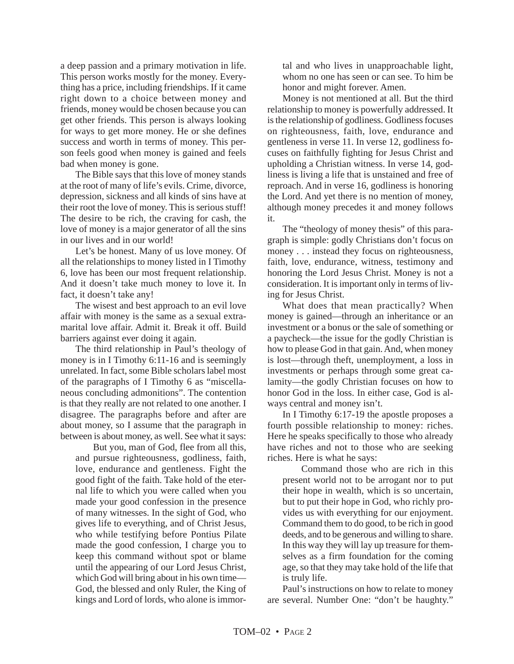a deep passion and a primary motivation in life. This person works mostly for the money. Everything has a price, including friendships. If it came right down to a choice between money and friends, money would be chosen because you can get other friends. This person is always looking for ways to get more money. He or she defines success and worth in terms of money. This person feels good when money is gained and feels bad when money is gone.

The Bible says that this love of money stands at the root of many of life's evils. Crime, divorce, depression, sickness and all kinds of sins have at their root the love of money. This is serious stuff! The desire to be rich, the craving for cash, the love of money is a major generator of all the sins in our lives and in our world!

Let's be honest. Many of us love money. Of all the relationships to money listed in I Timothy 6, love has been our most frequent relationship. And it doesn't take much money to love it. In fact, it doesn't take any!

The wisest and best approach to an evil love affair with money is the same as a sexual extramarital love affair. Admit it. Break it off. Build barriers against ever doing it again.

The third relationship in Paul's theology of money is in I Timothy 6:11-16 and is seemingly unrelated. In fact, some Bible scholars label most of the paragraphs of I Timothy 6 as "miscellaneous concluding admonitions". The contention is that they really are not related to one another. I disagree. The paragraphs before and after are about money, so I assume that the paragraph in between is about money, as well. See what it says:

 But you, man of God, flee from all this, and pursue righteousness, godliness, faith, love, endurance and gentleness. Fight the good fight of the faith. Take hold of the eternal life to which you were called when you made your good confession in the presence of many witnesses. In the sight of God, who gives life to everything, and of Christ Jesus, who while testifying before Pontius Pilate made the good confession, I charge you to keep this command without spot or blame until the appearing of our Lord Jesus Christ, which God will bring about in his own time— God, the blessed and only Ruler, the King of kings and Lord of lords, who alone is immortal and who lives in unapproachable light, whom no one has seen or can see. To him be honor and might forever. Amen.

Money is not mentioned at all. But the third relationship to money is powerfully addressed. It is the relationship of godliness. Godliness focuses on righteousness, faith, love, endurance and gentleness in verse 11. In verse 12, godliness focuses on faithfully fighting for Jesus Christ and upholding a Christian witness. In verse 14, godliness is living a life that is unstained and free of reproach. And in verse 16, godliness is honoring the Lord. And yet there is no mention of money, although money precedes it and money follows it.

The "theology of money thesis" of this paragraph is simple: godly Christians don't focus on money . . . instead they focus on righteousness, faith, love, endurance, witness, testimony and honoring the Lord Jesus Christ. Money is not a consideration. It is important only in terms of living for Jesus Christ.

What does that mean practically? When money is gained—through an inheritance or an investment or a bonus or the sale of something or a paycheck—the issue for the godly Christian is how to please God in that gain. And, when money is lost—through theft, unemployment, a loss in investments or perhaps through some great calamity—the godly Christian focuses on how to honor God in the loss. In either case, God is always central and money isn't.

In I Timothy 6:17-19 the apostle proposes a fourth possible relationship to money: riches. Here he speaks specifically to those who already have riches and not to those who are seeking riches. Here is what he says:

Command those who are rich in this present world not to be arrogant nor to put their hope in wealth, which is so uncertain, but to put their hope in God, who richly provides us with everything for our enjoyment. Command them to do good, to be rich in good deeds, and to be generous and willing to share. In this way they will lay up treasure for themselves as a firm foundation for the coming age, so that they may take hold of the life that is truly life.

Paul's instructions on how to relate to money are several. Number One: "don't be haughty."